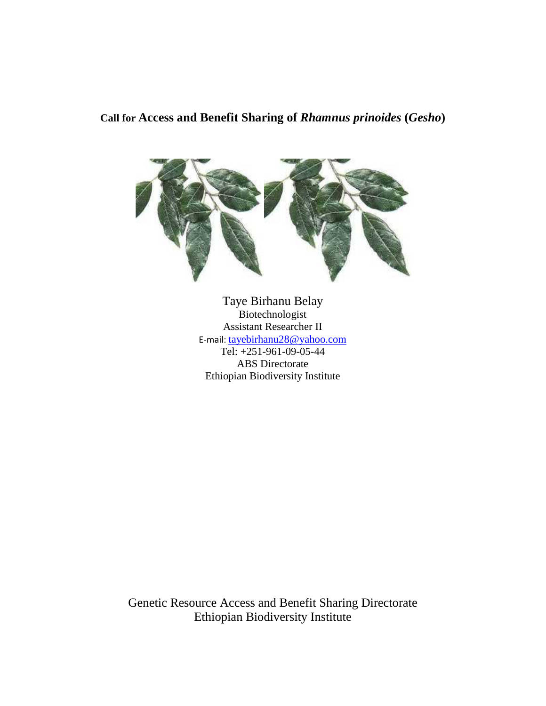# **Call for Access and Benefit Sharing of** *Rhamnus prinoides* **(***Gesho***)**



Taye Birhanu Belay Biotechnologist Assistant Researcher II E-mail: tayebirhanu28@yahoo.com Tel: +251-961-09-05-44 ABS Directorate Ethiopian Biodiversity Institute

Genetic Resource Access and Benefit Sharing Directorate Ethiopian Biodiversity Institute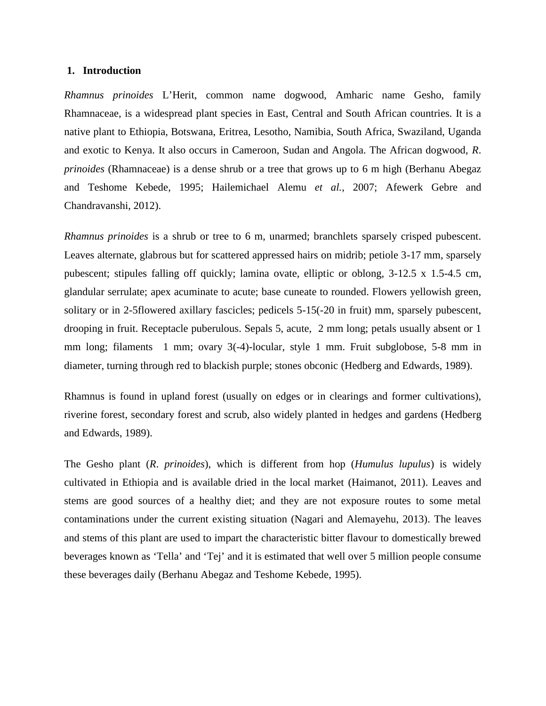#### **1. Introduction**

*Rhamnus prinoides* L'Herit, common name dogwood, Amharic name Gesho, family Rhamnaceae, is a widespread plant species in East, Central and South African countries. It is a native plant to Ethiopia, Botswana, Eritrea, Lesotho, Namibia, South Africa, Swaziland, Uganda and exotic to Kenya. It also occurs in Cameroon, Sudan and Angola. The African dogwood, *R*. *prinoides* (Rhamnaceae) is a dense shrub or a tree that grows up to 6 m high (Berhanu Abegaz and Teshome Kebede, 1995; Hailemichael Alemu *et al.,* 2007; Afewerk Gebre and Chandravanshi, 2012).

*Rhamnus prinoides* is a shrub or tree to 6 m, unarmed; branchlets sparsely crisped pubescent. Leaves alternate, glabrous but for scattered appressed hairs on midrib; petiole 3-17 mm, sparsely pubescent; stipules falling off quickly; lamina ovate, elliptic or oblong, 3-12.5 x 1.5-4.5 cm, glandular serrulate; apex acuminate to acute; base cuneate to rounded. Flowers yellowish green, solitary or in 2-5flowered axillary fascicles; pedicels 5-15(-20 in fruit) mm, sparsely pubescent, drooping in fruit. Receptacle puberulous. Sepals 5, acute, 2 mm long; petals usually absent or 1 mm long; filaments 1 mm; ovary 3(-4)-locular, style 1 mm. Fruit subglobose, 5-8 mm in diameter, turning through red to blackish purple; stones obconic (Hedberg and Edwards, 1989).

Rhamnus is found in upland forest (usually on edges or in clearings and former cultivations), riverine forest, secondary forest and scrub, also widely planted in hedges and gardens (Hedberg and Edwards, 1989).

The Gesho plant (*R*. *prinoides*), which is different from hop (*Humulus lupulus*) is widely cultivated in Ethiopia and is available dried in the local market (Haimanot, 2011). Leaves and stems are good sources of a healthy diet; and they are not exposure routes to some metal contaminations under the current existing situation (Nagari and Alemayehu, 2013). The leaves and stems of this plant are used to impart the characteristic bitter flavour to domestically brewed beverages known as 'Tella' and 'Tej' and it is estimated that well over 5 million people consume these beverages daily (Berhanu Abegaz and Teshome Kebede, 1995).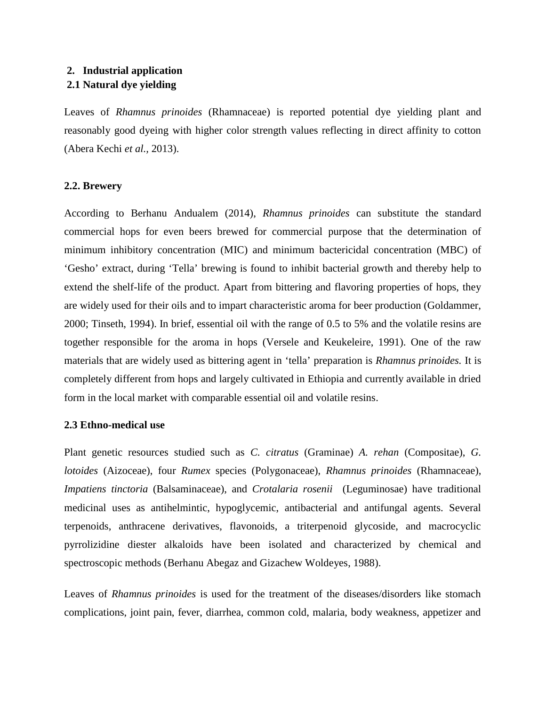## **2. Industrial application**

### **2.1 Natural dye yielding**

Leaves of *Rhamnus prinoides* (Rhamnaceae) is reported potential dye yielding plant and reasonably good dyeing with higher color strength values reflecting in direct affinity to cotton (Abera Kechi *et al.,* 2013).

### **2.2. Brewery**

According to Berhanu Andualem (2014), *Rhamnus prinoides* can substitute the standard commercial hops for even beers brewed for commercial purpose that the determination of minimum inhibitory concentration (MIC) and minimum bactericidal concentration (MBC) of 'Gesho' extract, during 'Tella' brewing is found to inhibit bacterial growth and thereby help to extend the shelf-life of the product. Apart from bittering and flavoring properties of hops, they are widely used for their oils and to impart characteristic aroma for beer production (Goldammer, 2000; Tinseth, 1994). In brief, essential oil with the range of 0.5 to 5% and the volatile resins are together responsible for the aroma in hops (Versele and Keukeleire, 1991). One of the raw materials that are widely used as bittering agent in 'tella' preparation is *Rhamnus prinoides.* It is completely different from hops and largely cultivated in Ethiopia and currently available in dried form in the local market with comparable essential oil and volatile resins.

#### **2.3 Ethno-medical use**

Plant genetic resources studied such as *C. citratus* (Graminae) *A. rehan* (Compositae), *G. lotoides* (Aizoceae), four *Rumex* species (Polygonaceae), *Rhamnus prinoides* (Rhamnaceae), *Impatiens tinctoria* (Balsaminaceae), and *Crotalaria rosenii* (Leguminosae) have traditional medicinal uses as antihelmintic, hypoglycemic, antibacterial and antifungal agents. Several terpenoids, anthracene derivatives, flavonoids, a triterpenoid glycoside, and macrocyclic pyrrolizidine diester alkaloids have been isolated and characterized by chemical and spectroscopic methods (Berhanu Abegaz and Gizachew Woldeyes, 1988).

Leaves of *Rhamnus prinoides* is used for the treatment of the diseases/disorders like stomach complications, joint pain, fever, diarrhea, common cold, malaria, body weakness, appetizer and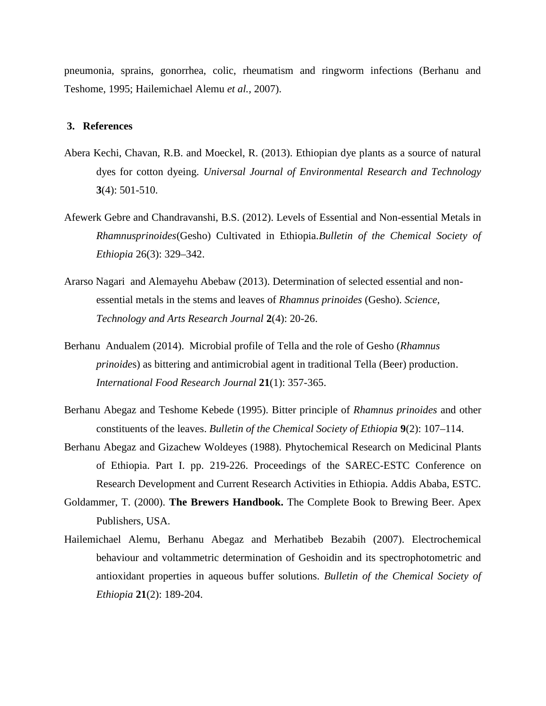pneumonia, sprains, gonorrhea, colic, rheumatism and ringworm infections (Berhanu and Teshome, 1995; Hailemichael Alemu *et al.,* 2007).

#### **3. References**

- Abera Kechi, Chavan, R.B. and Moeckel, R. (2013). Ethiopian dye plants as a source of natural dyes for cotton dyeing. *Universal Journal of Environmental Research and Technology* **3**(4): 501-510.
- Afewerk Gebre and Chandravanshi, B.S. (2012). Levels of Essential and Non-essential Metals in *Rhamnusprinoides*(Gesho) Cultivated in Ethiopia.*Bulletin of the Chemical Society of Ethiopia* 26(3): 329–342.
- Ararso Nagari and Alemayehu Abebaw (2013). Determination of selected essential and non essential metals in the stems and leaves of *Rhamnus prinoides* (Gesho). *Science, Technology and Arts Research Journal* **2**(4): 20-26.
- Berhanu Andualem (2014). Microbial profile of Tella and the role of Gesho (*Rhamnus prinoide*s) as bittering and antimicrobial agent in traditional Tella (Beer) production. *International Food Research Journal* **21**(1): 357-365.
- Berhanu Abegaz and Teshome Kebede (1995). Bitter principle of *Rhamnus prinoides* and other constituents of the leaves. *Bulletin of the Chemical Society of Ethiopia* **9**(2): 107–114.
- Berhanu Abegaz and Gizachew Woldeyes (1988). Phytochemical Research on Medicinal Plants of Ethiopia. Part I. pp. 219-226. Proceedings of the SAREC-ESTC Conference on Research Development and Current Research Activities in Ethiopia. Addis Ababa, ESTC.
- Goldammer, T. (2000). **The Brewers Handbook.** The Complete Book to Brewing Beer. Apex Publishers*,* USA.
- Hailemichael Alemu, Berhanu Abegaz and Merhatibeb Bezabih (2007). Electrochemical behaviour and voltammetric determination of Geshoidin and its spectrophotometric and antioxidant properties in aqueous buffer solutions. *Bulletin of the Chemical Society of Ethiopia* **21**(2): 189-204.